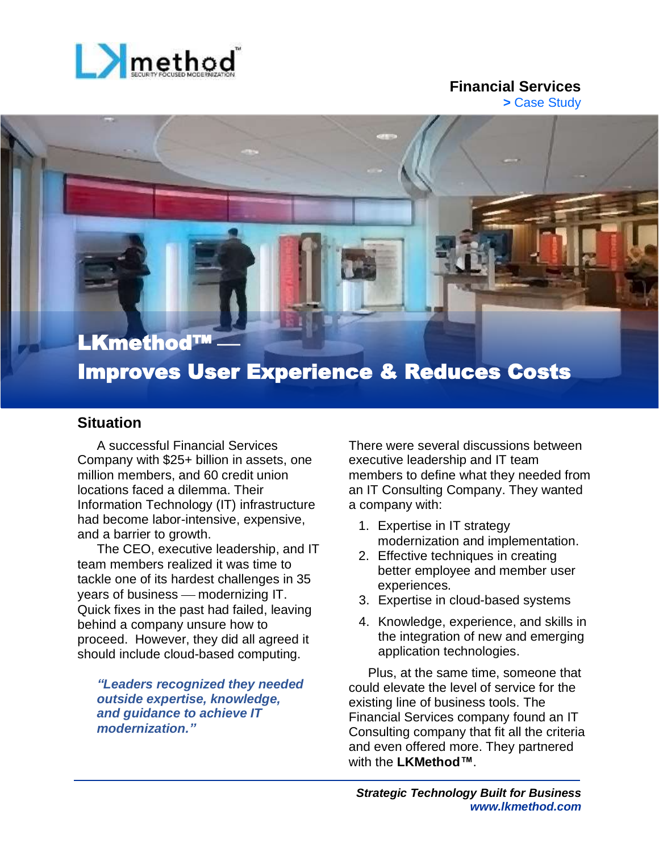

### **Financial Services >** Case Study

# LKmethod™ Improves User Experience & Reduces Costs

### **Situation**

A successful Financial Services Company with \$25+ billion in assets, one million members, and 60 credit union locations faced a dilemma. Their Information Technology (IT) infrastructure had become labor-intensive, expensive, and a barrier to growth.

The CEO, executive leadership, and IT team members realized it was time to tackle one of its hardest challenges in 35 years of business – modernizing IT. Quick fixes in the past had failed, leaving behind a company unsure how to proceed. However, they did all agreed it should include cloud-based computing.

*"Leaders recognized they needed outside expertise, knowledge, and guidance to achieve IT modernization."*

There were several discussions between executive leadership and IT team members to define what they needed from an IT Consulting Company. They wanted a company with:

- 1. Expertise in IT strategy modernization and implementation.
- 2. Effective techniques in creating better employee and member user experiences.
- 3. Expertise in cloud-based systems
- 4. Knowledge, experience, and skills in the integration of new and emerging application technologies.

Plus, at the same time, someone that could elevate the level of service for the existing line of business tools. The Financial Services company found an IT Consulting company that fit all the criteria and even offered more. They partnered with the **LKMethod™**.